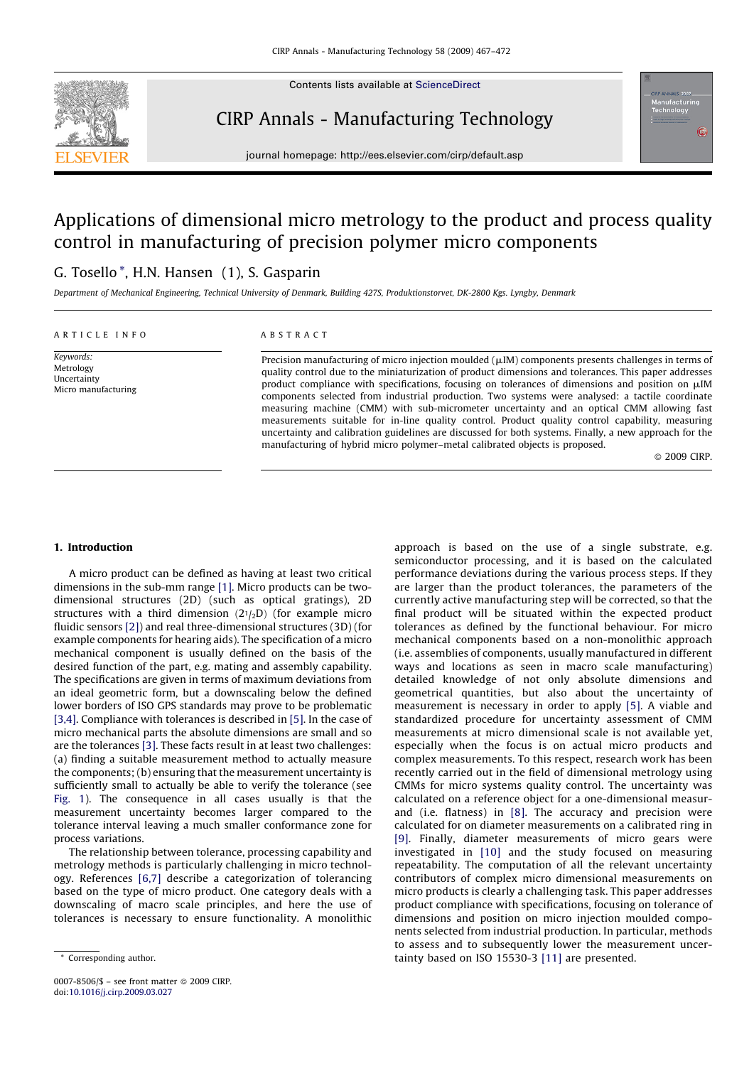

Contents lists available at [ScienceDirect](http://www.sciencedirect.com/science/journal/00078506)

CIRP Annals - Manufacturing Technology

journal homepage: http://ees.elsevier.com/cirp/default.asp

## Applications of dimensional micro metrology to the product and process quality control in manufacturing of precision polymer micro components

### G. Tosello \*, H.N. Hansen (1), S. Gasparin

Department of Mechanical Engineering, Technical University of Denmark, Building 427S, Produktionstorvet, DK-2800 Kgs. Lyngby, Denmark

#### ARTICLE INFO

Keywords: Metrology **Uncertainty** Micro manufacturing

#### ABSTRACT

Precision manufacturing of micro injection moulded ( $\mu$ IM) components presents challenges in terms of quality control due to the miniaturization of product dimensions and tolerances. This paper addresses product compliance with specifications, focusing on tolerances of dimensions and position on  $\mu$ IM components selected from industrial production. Two systems were analysed: a tactile coordinate measuring machine (CMM) with sub-micrometer uncertainty and an optical CMM allowing fast measurements suitable for in-line quality control. Product quality control capability, measuring uncertainty and calibration guidelines are discussed for both systems. Finally, a new approach for the manufacturing of hybrid micro polymer–metal calibrated objects is proposed.

© 2009 CIRP.

#### 1. Introduction

A micro product can be defined as having at least two critical dimensions in the sub-mm range [\[1\]](#page--1-0). Micro products can be twodimensional structures (2D) (such as optical gratings), 2D structures with a third dimension  $(21/2D)$  (for example micro fluidic sensors [\[2\]\)](#page--1-0) and real three-dimensional structures (3D) (for example components for hearing aids). The specification of a micro mechanical component is usually defined on the basis of the desired function of the part, e.g. mating and assembly capability. The specifications are given in terms of maximum deviations from an ideal geometric form, but a downscaling below the defined lower borders of ISO GPS standards may prove to be problematic [\[3,4\]](#page--1-0). Compliance with tolerances is described in [\[5\].](#page--1-0) In the case of micro mechanical parts the absolute dimensions are small and so are the tolerances [\[3\]](#page--1-0). These facts result in at least two challenges: (a) finding a suitable measurement method to actually measure the components; (b) ensuring that the measurement uncertainty is sufficiently small to actually be able to verify the tolerance (see [Fig. 1](#page-1-0)). The consequence in all cases usually is that the measurement uncertainty becomes larger compared to the tolerance interval leaving a much smaller conformance zone for process variations.

The relationship between tolerance, processing capability and metrology methods is particularly challenging in micro technology. References [\[6,7\]](#page--1-0) describe a categorization of tolerancing based on the type of micro product. One category deals with a downscaling of macro scale principles, and here the use of tolerances is necessary to ensure functionality. A monolithic

approach is based on the use of a single substrate, e.g. semiconductor processing, and it is based on the calculated performance deviations during the various process steps. If they are larger than the product tolerances, the parameters of the currently active manufacturing step will be corrected, so that the final product will be situated within the expected product tolerances as defined by the functional behaviour. For micro mechanical components based on a non-monolithic approach (i.e. assemblies of components, usually manufactured in different ways and locations as seen in macro scale manufacturing) detailed knowledge of not only absolute dimensions and geometrical quantities, but also about the uncertainty of measurement is necessary in order to apply [\[5\].](#page--1-0) A viable and standardized procedure for uncertainty assessment of CMM measurements at micro dimensional scale is not available yet, especially when the focus is on actual micro products and complex measurements. To this respect, research work has been recently carried out in the field of dimensional metrology using CMMs for micro systems quality control. The uncertainty was calculated on a reference object for a one-dimensional measurand (i.e. flatness) in [\[8\].](#page--1-0) The accuracy and precision were calculated for on diameter measurements on a calibrated ring in [\[9\].](#page--1-0) Finally, diameter measurements of micro gears were investigated in [\[10\]](#page--1-0) and the study focused on measuring repeatability. The computation of all the relevant uncertainty contributors of complex micro dimensional measurements on micro products is clearly a challenging task. This paper addresses product compliance with specifications, focusing on tolerance of dimensions and position on micro injection moulded components selected from industrial production. In particular, methods to assess and to subsequently lower the measurement uncertainty based on ISO 15530-3 [\[11\]](#page--1-0) are presented.

<sup>\*</sup> Corresponding author.

<sup>0007-8506/\$ –</sup> see front matter © 2009 CIRP. doi:[10.1016/j.cirp.2009.03.027](http://dx.doi.org/10.1016/j.cirp.2009.03.027)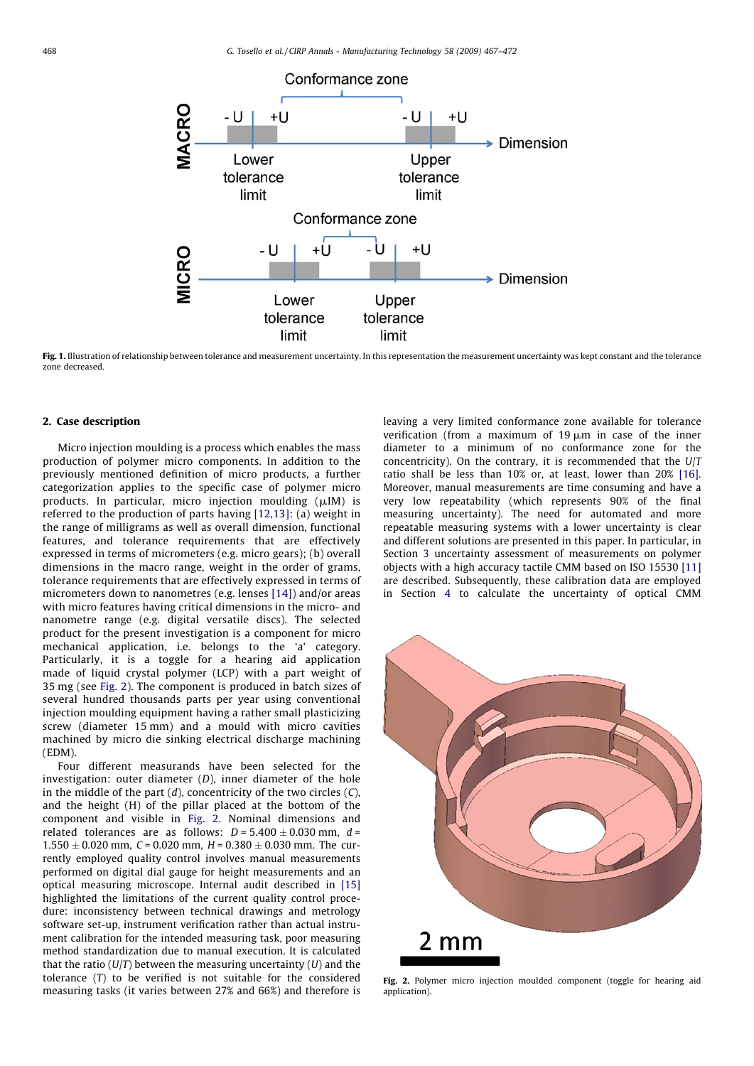<span id="page-1-0"></span>

Fig. 1. Illustration of relationship between tolerance and measurement uncertainty. In this representation the measurement uncertainty was kept constant and the tolerance zone decreased.

#### 2. Case description

Micro injection moulding is a process which enables the mass production of polymer micro components. In addition to the previously mentioned definition of micro products, a further categorization applies to the specific case of polymer micro products. In particular, micro injection moulding  $(\mu I M)$  is referred to the production of parts having [\[12,13\]:](#page--1-0) (a) weight in the range of milligrams as well as overall dimension, functional features, and tolerance requirements that are effectively expressed in terms of micrometers (e.g. micro gears); (b) overall dimensions in the macro range, weight in the order of grams, tolerance requirements that are effectively expressed in terms of micrometers down to nanometres (e.g. lenses [\[14\]\)](#page--1-0) and/or areas with micro features having critical dimensions in the micro- and nanometre range (e.g. digital versatile discs). The selected product for the present investigation is a component for micro mechanical application, i.e. belongs to the 'a' category. Particularly, it is a toggle for a hearing aid application made of liquid crystal polymer (LCP) with a part weight of 35 mg (see Fig. 2). The component is produced in batch sizes of several hundred thousands parts per year using conventional injection moulding equipment having a rather small plasticizing screw (diameter 15 mm) and a mould with micro cavities machined by micro die sinking electrical discharge machining (EDM).

Four different measurands have been selected for the investigation: outer diameter  $(D)$ , inner diameter of the hole in the middle of the part  $(d)$ , concentricity of the two circles  $(C)$ , and the height (H) of the pillar placed at the bottom of the component and visible in Fig. 2. Nominal dimensions and related tolerances are as follows:  $D = 5.400 \pm 0.030$  mm,  $d =$  $1.550 \pm 0.020$  mm, C = 0.020 mm, H = 0.380  $\pm$  0.030 mm. The currently employed quality control involves manual measurements performed on digital dial gauge for height measurements and an optical measuring microscope. Internal audit described in [\[15\]](#page--1-0) highlighted the limitations of the current quality control procedure: inconsistency between technical drawings and metrology software set-up, instrument verification rather than actual instrument calibration for the intended measuring task, poor measuring method standardization due to manual execution. It is calculated that the ratio ( $U/T$ ) between the measuring uncertainty ( $U$ ) and the tolerance (T) to be verified is not suitable for the considered measuring tasks (it varies between 27% and 66%) and therefore is leaving a very limited conformance zone available for tolerance verification (from a maximum of 19  $\mu$ m in case of the inner diameter to a minimum of no conformance zone for the concentricity). On the contrary, it is recommended that the  $U/T$ ratio shall be less than 10% or, at least, lower than 20% [\[16\].](#page--1-0) Moreover, manual measurements are time consuming and have a very low repeatability (which represents 90% of the final measuring uncertainty). The need for automated and more repeatable measuring systems with a lower uncertainty is clear and different solutions are presented in this paper. In particular, in Section [3](#page--1-0) uncertainty assessment of measurements on polymer objects with a high accuracy tactile CMM based on ISO 15530 [\[11\]](#page--1-0) are described. Subsequently, these calibration data are employed in Section [4](#page--1-0) to calculate the uncertainty of optical CMM



Fig. 2. Polymer micro injection moulded component (toggle for hearing aid application).